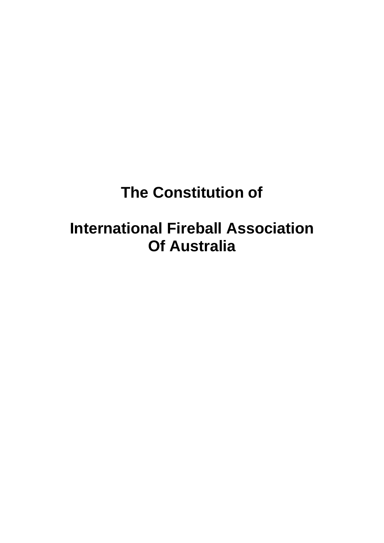# **The Constitution of**

## **International Fireball Association Of Australia**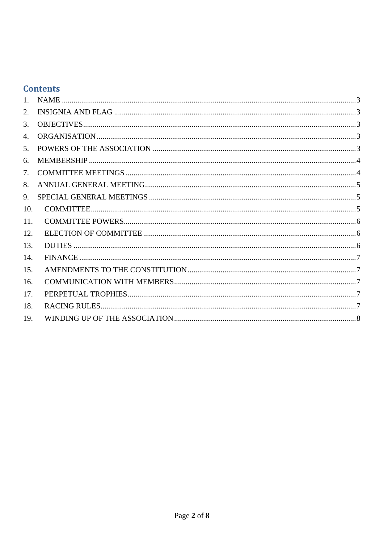## **Contents**

| 1 <sup>1</sup>   |  |
|------------------|--|
| 2.               |  |
| 3.               |  |
| $\overline{4}$ . |  |
| 5 <sub>1</sub>   |  |
| 6.               |  |
| 7.               |  |
| 8.               |  |
| 9.               |  |
| 10.              |  |
| 11.              |  |
| 12.              |  |
| 13.              |  |
| 14.              |  |
| 15.              |  |
| 16.              |  |
| 17.              |  |
| 18.              |  |
| 19.              |  |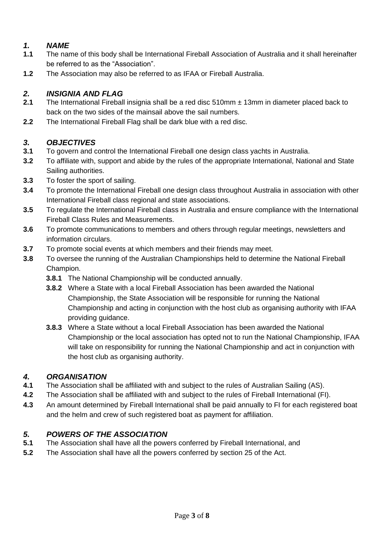## <span id="page-2-0"></span>*1. NAME*

- **1.1** The name of this body shall be International Fireball Association of Australia and it shall hereinafter be referred to as the "Association".
- **1.2** The Association may also be referred to as IFAA or Fireball Australia.

## <span id="page-2-1"></span>*2. INSIGNIA AND FLAG*

- **2.1** The International Fireball insignia shall be a red disc 510mm ± 13mm in diameter placed back to back on the two sides of the mainsail above the sail numbers.
- **2.2** The International Fireball Flag shall be dark blue with a red disc.

## <span id="page-2-2"></span>*3. OBJECTIVES*

- **3.1** To govern and control the International Fireball one design class yachts in Australia.
- **3.2** To affiliate with, support and abide by the rules of the appropriate International, National and State Sailing authorities.
- **3.3** To foster the sport of sailing.
- **3.4** To promote the International Fireball one design class throughout Australia in association with other International Fireball class regional and state associations.
- **3.5** To regulate the International Fireball class in Australia and ensure compliance with the International Fireball Class Rules and Measurements.
- **3.6** To promote communications to members and others through regular meetings, newsletters and information circulars.
- **3.7** To promote social events at which members and their friends may meet.
- **3.8** To oversee the running of the Australian Championships held to determine the National Fireball Champion.
	- **3.8.1** The National Championship will be conducted annually.
	- **3.8.2** Where a State with a local Fireball Association has been awarded the National Championship, the State Association will be responsible for running the National Championship and acting in conjunction with the host club as organising authority with IFAA providing guidance.
	- **3.8.3** Where a State without a local Fireball Association has been awarded the National Championship or the local association has opted not to run the National Championship, IFAA will take on responsibility for running the National Championship and act in conjunction with the host club as organising authority.

## <span id="page-2-3"></span>*4. ORGANISATION*

- **4.1** The Association shall be affiliated with and subject to the rules of Australian Sailing (AS).
- **4.2** The Association shall be affiliated with and subject to the rules of Fireball International (FI).
- **4.3** An amount determined by Fireball International shall be paid annually to FI for each registered boat and the helm and crew of such registered boat as payment for affiliation.

## <span id="page-2-4"></span>*5. POWERS OF THE ASSOCIATION*

- **5.1** The Association shall have all the powers conferred by Fireball International, and
- **5.2** The Association shall have all the powers conferred by section 25 of the Act.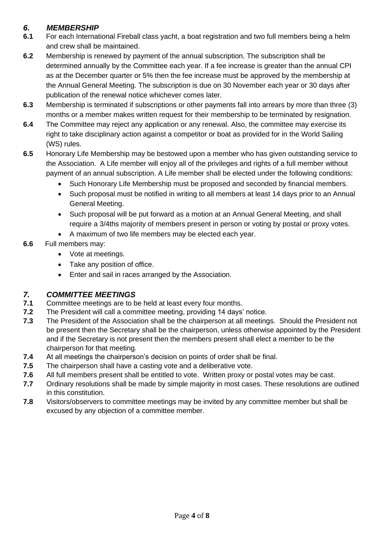#### <span id="page-3-0"></span>*6. MEMBERSHIP*

- **6.1** For each International Fireball class yacht, a boat registration and two full members being a helm and crew shall be maintained.
- **6.2** Membership is renewed by payment of the annual subscription. The subscription shall be determined annually by the Committee each year. If a fee increase is greater than the annual CPI as at the December quarter or 5% then the fee increase must be approved by the membership at the Annual General Meeting. The subscription is due on 30 November each year or 30 days after publication of the renewal notice whichever comes later.
- **6.3** Membership is terminated if subscriptions or other payments fall into arrears by more than three (3) months or a member makes written request for their membership to be terminated by resignation.
- **6.4** The Committee may reject any application or any renewal. Also, the committee may exercise its right to take disciplinary action against a competitor or boat as provided for in the World Sailing (WS) rules.
- **6.5** Honorary Life Membership may be bestowed upon a member who has given outstanding service to the Association. A Life member will enjoy all of the privileges and rights of a full member without payment of an annual subscription. A Life member shall be elected under the following conditions:
	- Such Honorary Life Membership must be proposed and seconded by financial members.
	- Such proposal must be notified in writing to all members at least 14 days prior to an Annual General Meeting.
	- Such proposal will be put forward as a motion at an Annual General Meeting, and shall require a 3/4ths majority of members present in person or voting by postal or proxy votes.
	- A maximum of two life members may be elected each year.
- **6.6** Full members may:
	- Vote at meetings.
	- Take any position of office.
	- Enter and sail in races arranged by the Association.

## <span id="page-3-1"></span>*7. COMMITTEE MEETINGS*

- **7.1** Committee meetings are to be held at least every four months.
- **7.2** The President will call a committee meeting, providing 14 days' notice.
- **7.3** The President of the Association shall be the chairperson at all meetings. Should the President not be present then the Secretary shall be the chairperson, unless otherwise appointed by the President and if the Secretary is not present then the members present shall elect a member to be the chairperson for that meeting.
- **7.4** At all meetings the chairperson's decision on points of order shall be final.
- **7.5** The chairperson shall have a casting vote and a deliberative vote.
- **7.6** All full members present shall be entitled to vote. Written proxy or postal votes may be cast.
- **7.7** Ordinary resolutions shall be made by simple majority in most cases. These resolutions are outlined in this constitution.
- **7.8** Visitors/observers to committee meetings may be invited by any committee member but shall be excused by any objection of a committee member.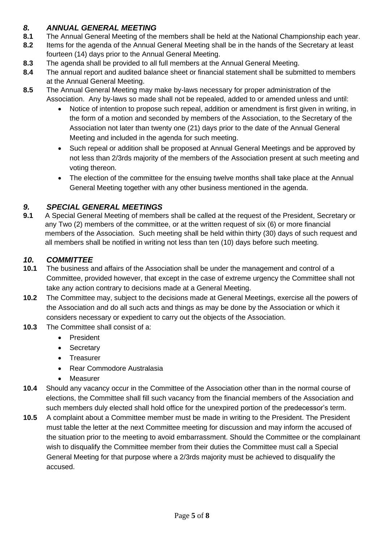#### <span id="page-4-0"></span>*8. ANNUAL GENERAL MEETING*

- **8.1** The Annual General Meeting of the members shall be held at the National Championship each year.
- **8.2** Items for the agenda of the Annual General Meeting shall be in the hands of the Secretary at least fourteen (14) days prior to the Annual General Meeting.
- **8.3** The agenda shall be provided to all full members at the Annual General Meeting.
- **8.4** The annual report and audited balance sheet or financial statement shall be submitted to members at the Annual General Meeting.
- **8.5** The Annual General Meeting may make by-laws necessary for proper administration of the Association. Any by-laws so made shall not be repealed, added to or amended unless and until:
	- Notice of intention to propose such repeal, addition or amendment is first given in writing, in the form of a motion and seconded by members of the Association, to the Secretary of the Association not later than twenty one (21) days prior to the date of the Annual General Meeting and included in the agenda for such meeting.
	- Such repeal or addition shall be proposed at Annual General Meetings and be approved by not less than 2/3rds majority of the members of the Association present at such meeting and voting thereon.
	- The election of the committee for the ensuing twelve months shall take place at the Annual General Meeting together with any other business mentioned in the agenda.

## <span id="page-4-1"></span>*9. SPECIAL GENERAL MEETINGS*

**9.1** A Special General Meeting of members shall be called at the request of the President, Secretary or any Two (2) members of the committee, or at the written request of six (6) or more financial members of the Association. Such meeting shall be held within thirty (30) days of such request and all members shall be notified in writing not less than ten (10) days before such meeting.

## <span id="page-4-2"></span>*10. COMMITTEE*

- **10.1** The business and affairs of the Association shall be under the management and control of a Committee, provided however, that except in the case of extreme urgency the Committee shall not take any action contrary to decisions made at a General Meeting.
- **10.2** The Committee may, subject to the decisions made at General Meetings, exercise all the powers of the Association and do all such acts and things as may be done by the Association or which it considers necessary or expedient to carry out the objects of the Association.
- **10.3** The Committee shall consist of a:
	- President
	- Secretary
	- Treasurer
	- Rear Commodore Australasia
	- Measurer
- **10.4** Should any vacancy occur in the Committee of the Association other than in the normal course of elections, the Committee shall fill such vacancy from the financial members of the Association and such members duly elected shall hold office for the unexpired portion of the predecessor's term.
- **10.5** A complaint about a Committee member must be made in writing to the President. The President must table the letter at the next Committee meeting for discussion and may inform the accused of the situation prior to the meeting to avoid embarrassment. Should the Committee or the complainant wish to disqualify the Committee member from their duties the Committee must call a Special General Meeting for that purpose where a 2/3rds majority must be achieved to disqualify the accused.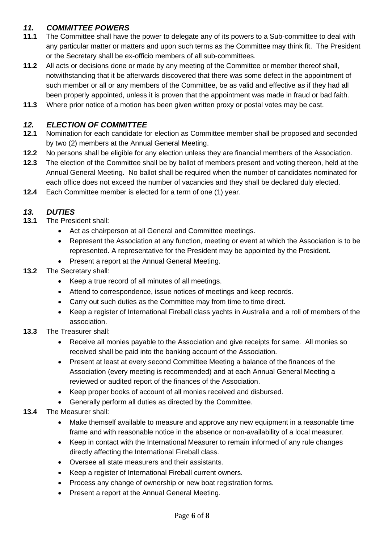#### <span id="page-5-0"></span>*11. COMMITTEE POWERS*

- **11.1** The Committee shall have the power to delegate any of its powers to a Sub-committee to deal with any particular matter or matters and upon such terms as the Committee may think fit. The President or the Secretary shall be ex-officio members of all sub-committees.
- **11.2** All acts or decisions done or made by any meeting of the Committee or member thereof shall, notwithstanding that it be afterwards discovered that there was some defect in the appointment of such member or all or any members of the Committee, be as valid and effective as if they had all been properly appointed, unless it is proven that the appointment was made in fraud or bad faith.
- **11.3** Where prior notice of a motion has been given written proxy or postal votes may be cast.

#### <span id="page-5-1"></span>*12. ELECTION OF COMMITTEE*

- **12.1** Nomination for each candidate for election as Committee member shall be proposed and seconded by two (2) members at the Annual General Meeting.
- **12.2** No persons shall be eligible for any election unless they are financial members of the Association.
- **12.3** The election of the Committee shall be by ballot of members present and voting thereon, held at the Annual General Meeting. No ballot shall be required when the number of candidates nominated for each office does not exceed the number of vacancies and they shall be declared duly elected.
- **12.4** Each Committee member is elected for a term of one (1) year.

## <span id="page-5-2"></span>*13. DUTIES*

- **13.1** The President shall:
	- Act as chairperson at all General and Committee meetings.
	- Represent the Association at any function, meeting or event at which the Association is to be represented. A representative for the President may be appointed by the President.
	- Present a report at the Annual General Meeting.

#### **13.2** The Secretary shall:

- Keep a true record of all minutes of all meetings.
- Attend to correspondence, issue notices of meetings and keep records.
- Carry out such duties as the Committee may from time to time direct.
- Keep a register of International Fireball class yachts in Australia and a roll of members of the association.
- **13.3** The Treasurer shall:
	- Receive all monies payable to the Association and give receipts for same. All monies so received shall be paid into the banking account of the Association.
	- Present at least at every second Committee Meeting a balance of the finances of the Association (every meeting is recommended) and at each Annual General Meeting a reviewed or audited report of the finances of the Association.
	- Keep proper books of account of all monies received and disbursed.
	- Generally perform all duties as directed by the Committee.
- **13.4** The Measurer shall:
	- Make themself available to measure and approve any new equipment in a reasonable time frame and with reasonable notice in the absence or non-availability of a local measurer.
	- Keep in contact with the International Measurer to remain informed of any rule changes directly affecting the International Fireball class.
	- Oversee all state measurers and their assistants.
	- Keep a register of International Fireball current owners.
	- Process any change of ownership or new boat registration forms.
	- Present a report at the Annual General Meeting.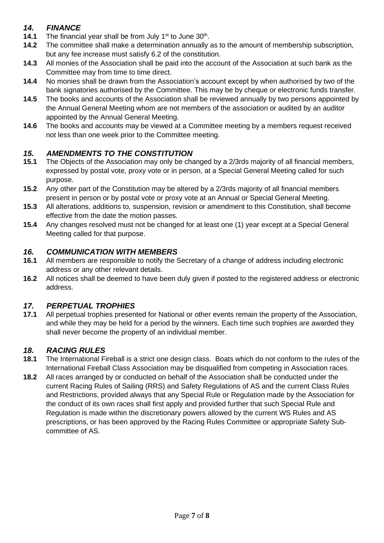#### <span id="page-6-0"></span>*14. FINANCE*

- **14.1** The financial year shall be from July 1<sup>st</sup> to June 30<sup>th</sup>.
- **14.2** The committee shall make a determination annually as to the amount of membership subscription, but any fee increase must satisfy 6.2 of the constitution.
- **14.3** All monies of the Association shall be paid into the account of the Association at such bank as the Committee may from time to time direct.
- **14.4** No monies shall be drawn from the Association's account except by when authorised by two of the bank signatories authorised by the Committee. This may be by cheque or electronic funds transfer.
- **14.5** The books and accounts of the Association shall be reviewed annually by two persons appointed by the Annual General Meeting whom are not members of the association or audited by an auditor appointed by the Annual General Meeting.
- **14.6** The books and accounts may be viewed at a Committee meeting by a members request received not less than one week prior to the Committee meeting.

#### <span id="page-6-1"></span>*15. AMENDMENTS TO THE CONSTITUTION*

- **15.1** The Objects of the Association may only be changed by a 2/3rds majority of all financial members, expressed by postal vote, proxy vote or in person, at a Special General Meeting called for such purpose.
- **15.2** Any other part of the Constitution may be altered by a 2/3rds majority of all financial members present in person or by postal vote or proxy vote at an Annual or Special General Meeting.
- **15.3** All alterations, additions to, suspension, revision or amendment to this Constitution, shall become effective from the date the motion passes.
- **15.4** Any changes resolved must not be changed for at least one (1) year except at a Special General Meeting called for that purpose.

#### <span id="page-6-2"></span>*16. COMMUNICATION WITH MEMBERS*

- **16.1** All members are responsible to notify the Secretary of a change of address including electronic address or any other relevant details.
- **16.2** All notices shall be deemed to have been duly given if posted to the registered address or electronic address.

## <span id="page-6-3"></span>*17. PERPETUAL TROPHIES*

**17.1** All perpetual trophies presented for National or other events remain the property of the Association, and while they may be held for a period by the winners. Each time such trophies are awarded they shall never become the property of an individual member.

#### <span id="page-6-4"></span>*18. RACING RULES*

- **18.1** The International Fireball is a strict one design class. Boats which do not conform to the rules of the International Fireball Class Association may be disqualified from competing in Association races.
- **18.2** All races arranged by or conducted on behalf of the Association shall be conducted under the current Racing Rules of Sailing (RRS) and Safety Regulations of AS and the current Class Rules and Restrictions, provided always that any Special Rule or Regulation made by the Association for the conduct of its own races shall first apply and provided further that such Special Rule and Regulation is made within the discretionary powers allowed by the current WS Rules and AS prescriptions, or has been approved by the Racing Rules Committee or appropriate Safety Subcommittee of AS.